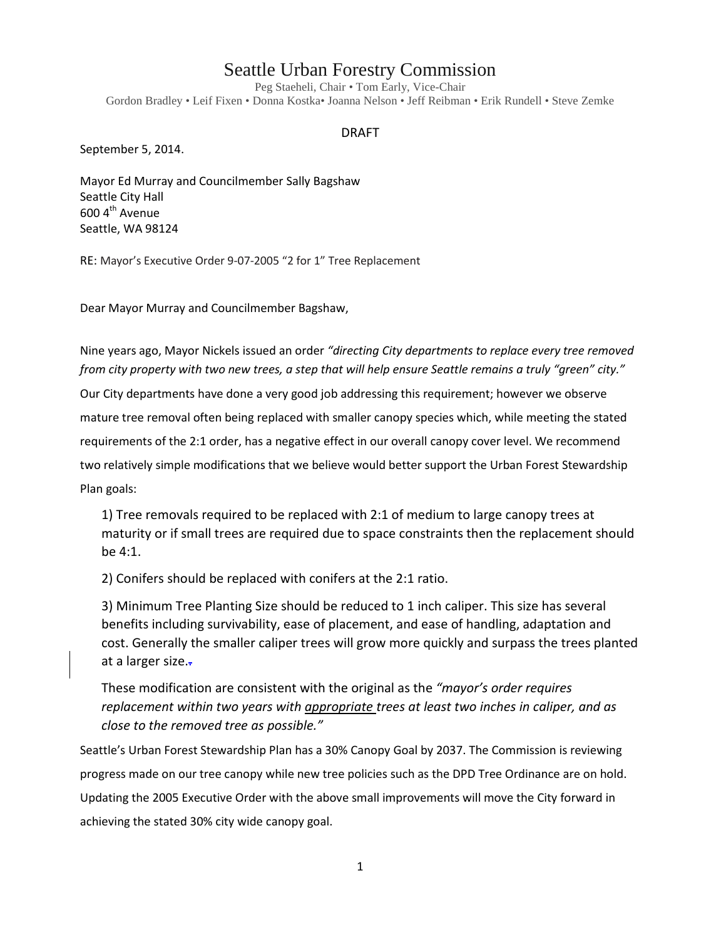# Seattle Urban Forestry Commission

Peg Staeheli, Chair • Tom Early, Vice-Chair Gordon Bradley • Leif Fixen • Donna Kostka• Joanna Nelson • Jeff Reibman • Erik Rundell • Steve Zemke

#### DRAFT

September 5, 2014.

Mayor Ed Murray and Councilmember Sally Bagshaw Seattle City Hall 600 4<sup>th</sup> Avenue Seattle, WA 98124

RE: Mayor's Executive Order 9-07-2005 "2 for 1" Tree Replacement

Dear Mayor Murray and Councilmember Bagshaw,

Nine years ago, Mayor Nickels issued an order *"directing City departments to replace every tree removed from city property with two new trees, a step that will help ensure Seattle remains a truly "green" city."*

Our City departments have done a very good job addressing this requirement; however we observe mature tree removal often being replaced with smaller canopy species which, while meeting the stated requirements of the 2:1 order, has a negative effect in our overall canopy cover level. We recommend two relatively simple modifications that we believe would better support the Urban Forest Stewardship Plan goals:

1) Tree removals required to be replaced with 2:1 of medium to large canopy trees at maturity or if small trees are required due to space constraints then the replacement should be 4:1.

2) Conifers should be replaced with conifers at the 2:1 ratio.

3) Minimum Tree Planting Size should be reduced to 1 inch caliper. This size has several benefits including survivability, ease of placement, and ease of handling, adaptation and cost. Generally the smaller caliper trees will grow more quickly and surpass the trees planted at a larger size...

These modification are consistent with the original as the *"mayor's order requires replacement within two years with appropriate trees at least two inches in caliper, and as close to the removed tree as possible."*

Seattle's Urban Forest Stewardship Plan has a 30% Canopy Goal by 2037. The Commission is reviewing progress made on our tree canopy while new tree policies such as the DPD Tree Ordinance are on hold. Updating the 2005 Executive Order with the above small improvements will move the City forward in achieving the stated 30% city wide canopy goal.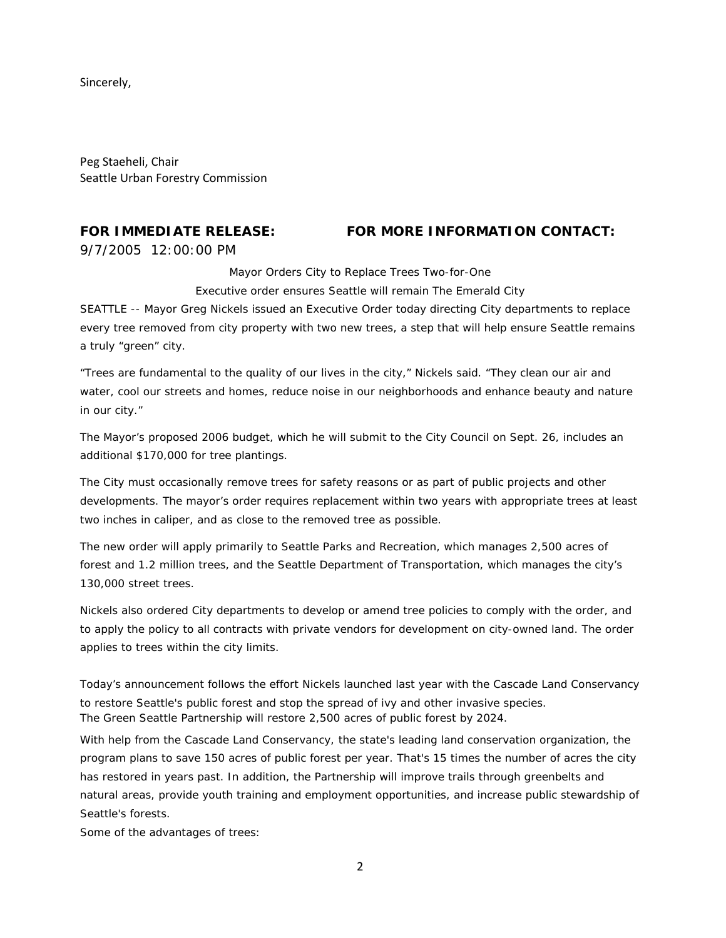Sincerely,

Peg Staeheli, Chair Seattle Urban Forestry Commission

#### **FOR IMMEDIATE RELEASE:**

9/7/2005 12:00:00 PM

### **FOR MORE INFORMATION CONTACT:**

Mayor Orders City to Replace Trees Two-for-One

Executive order ensures Seattle will remain The Emerald City

SEATTLE -- Mayor Greg Nickels issued an Executive Order today directing City departments to replace every tree removed from city property with two new trees, a step that will help ensure Seattle remains a truly "green" city.

"Trees are fundamental to the quality of our lives in the city," Nickels said. "They clean our air and water, cool our streets and homes, reduce noise in our neighborhoods and enhance beauty and nature in our city."

The Mayor's proposed 2006 budget, which he will submit to the City Council on Sept. 26, includes an additional \$170,000 for tree plantings.

The City must occasionally remove trees for safety reasons or as part of public projects and other developments. The mayor's order requires replacement within two years with appropriate trees at least two inches in caliper, and as close to the removed tree as possible.

The new order will apply primarily to Seattle Parks and Recreation, which manages 2,500 acres of forest and 1.2 million trees, and the Seattle Department of Transportation, which manages the city's 130,000 street trees.

Nickels also ordered City departments to develop or amend tree policies to comply with the order, and to apply the policy to all contracts with private vendors for development on city-owned land. The order applies to trees within the city limits.

Today's announcement follows the effort Nickels launched last year with the Cascade Land Conservancy to restore Seattle's public forest and stop the spread of ivy and other invasive species. The Green Seattle Partnership will restore 2,500 acres of public forest by 2024.

With help from the Cascade Land Conservancy, the state's leading land conservation organization, the program plans to save 150 acres of public forest per year. That's 15 times the number of acres the city has restored in years past. In addition, the Partnership will improve trails through greenbelts and natural areas, provide youth training and employment opportunities, and increase public stewardship of Seattle's forests.

Some of the advantages of trees: